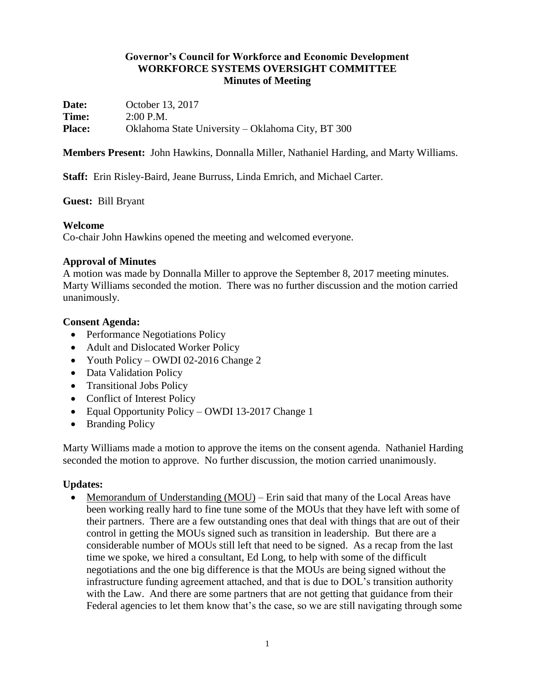## **Governor's Council for Workforce and Economic Development WORKFORCE SYSTEMS OVERSIGHT COMMITTEE Minutes of Meeting**

**Date:** October 13, 2017 **Time:** 2:00 P.M. **Place:** Oklahoma State University – Oklahoma City, BT 300

**Members Present:** John Hawkins, Donnalla Miller, Nathaniel Harding, and Marty Williams.

**Staff:** Erin Risley-Baird, Jeane Burruss, Linda Emrich, and Michael Carter.

### **Guest:** Bill Bryant

## **Welcome**

Co-chair John Hawkins opened the meeting and welcomed everyone.

## **Approval of Minutes**

A motion was made by Donnalla Miller to approve the September 8, 2017 meeting minutes. Marty Williams seconded the motion. There was no further discussion and the motion carried unanimously.

## **Consent Agenda:**

- Performance Negotiations Policy
- Adult and Dislocated Worker Policy
- Youth Policy OWDI 02-2016 Change 2
- Data Validation Policy
- Transitional Jobs Policy
- Conflict of Interest Policy
- Equal Opportunity Policy OWDI 13-2017 Change 1
- Branding Policy

Marty Williams made a motion to approve the items on the consent agenda. Nathaniel Harding seconded the motion to approve. No further discussion, the motion carried unanimously.

# **Updates:**

• Memorandum of Understanding (MOU) – Erin said that many of the Local Areas have been working really hard to fine tune some of the MOUs that they have left with some of their partners. There are a few outstanding ones that deal with things that are out of their control in getting the MOUs signed such as transition in leadership. But there are a considerable number of MOUs still left that need to be signed. As a recap from the last time we spoke, we hired a consultant, Ed Long, to help with some of the difficult negotiations and the one big difference is that the MOUs are being signed without the infrastructure funding agreement attached, and that is due to DOL's transition authority with the Law. And there are some partners that are not getting that guidance from their Federal agencies to let them know that's the case, so we are still navigating through some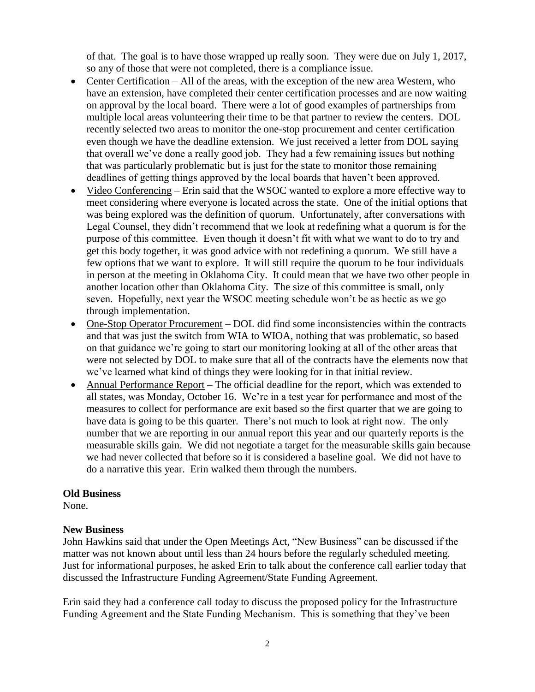of that. The goal is to have those wrapped up really soon. They were due on July 1, 2017, so any of those that were not completed, there is a compliance issue.

- Center Certification All of the areas, with the exception of the new area Western, who have an extension, have completed their center certification processes and are now waiting on approval by the local board. There were a lot of good examples of partnerships from multiple local areas volunteering their time to be that partner to review the centers. DOL recently selected two areas to monitor the one-stop procurement and center certification even though we have the deadline extension. We just received a letter from DOL saying that overall we've done a really good job. They had a few remaining issues but nothing that was particularly problematic but is just for the state to monitor those remaining deadlines of getting things approved by the local boards that haven't been approved.
- Video Conferencing Erin said that the WSOC wanted to explore a more effective way to meet considering where everyone is located across the state. One of the initial options that was being explored was the definition of quorum. Unfortunately, after conversations with Legal Counsel, they didn't recommend that we look at redefining what a quorum is for the purpose of this committee. Even though it doesn't fit with what we want to do to try and get this body together, it was good advice with not redefining a quorum. We still have a few options that we want to explore. It will still require the quorum to be four individuals in person at the meeting in Oklahoma City. It could mean that we have two other people in another location other than Oklahoma City. The size of this committee is small, only seven. Hopefully, next year the WSOC meeting schedule won't be as hectic as we go through implementation.
- One-Stop Operator Procurement DOL did find some inconsistencies within the contracts and that was just the switch from WIA to WIOA, nothing that was problematic, so based on that guidance we're going to start our monitoring looking at all of the other areas that were not selected by DOL to make sure that all of the contracts have the elements now that we've learned what kind of things they were looking for in that initial review.
- Annual Performance Report The official deadline for the report, which was extended to all states, was Monday, October 16. We're in a test year for performance and most of the measures to collect for performance are exit based so the first quarter that we are going to have data is going to be this quarter. There's not much to look at right now. The only number that we are reporting in our annual report this year and our quarterly reports is the measurable skills gain. We did not negotiate a target for the measurable skills gain because we had never collected that before so it is considered a baseline goal. We did not have to do a narrative this year. Erin walked them through the numbers.

#### **Old Business**

None.

### **New Business**

John Hawkins said that under the Open Meetings Act, "New Business" can be discussed if the matter was not known about until less than 24 hours before the regularly scheduled meeting. Just for informational purposes, he asked Erin to talk about the conference call earlier today that discussed the Infrastructure Funding Agreement/State Funding Agreement.

Erin said they had a conference call today to discuss the proposed policy for the Infrastructure Funding Agreement and the State Funding Mechanism. This is something that they've been